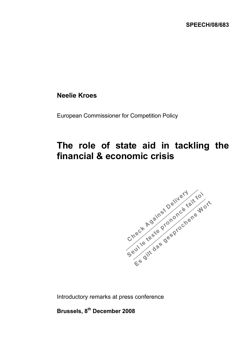## **Neelie Kroes**

European Commissioner for Competition Policy

## **The role of state aid in tackling the financial & economic crisis**



Introductory remarks at press conference

**Brussels, 8th December 2008**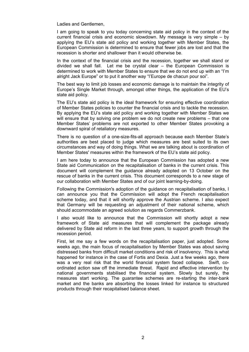Ladies and Gentlemen,

I am going to speak to you today concerning state aid policy in the context of the current financial crisis and economic slowdown. My message is very simple – by applying the EU's state aid policy and working together with Member States, the European Commission is determined to ensure that fewer jobs are lost and that the recession is shorter and shallower than it would otherwise be.

In the context of the financial crisis and the recession, together we shall stand or divided we shall fall. Let me be crystal clear – the European Commission is determined to work with Member States to ensure that we do not end up with an "I'm alright Jack Europe" or to put it another way "l'Europe de chacun pour soi".

The best way to limit job losses and economic damage is to maintain the integrity of Europe's Single Market through, amongst other things, the application of the EU's state aid policy.

The EU's state aid policy is the ideal framework for ensuring effective coordination of Member States policies to counter the financial crisis and to tackle the recession. By applying the EU's state aid policy and working together with Member States we will ensure that by solving one problem we do not create new problems – that one Member States' problems are not exported to other Member States provoking a downward spiral of retaliatory measures.

There is no question of a one-size-fits-all approach because each Member State's authorities are best placed to judge which measures are best suited to its own circumstances and way of doing things. What we are talking about is coordination of Member States' measures within the framework of the EU's state aid policy.

I am here today to announce that the European Commission has adopted a new State aid Communication on the recapitalisation of banks in the current crisis. This document will complement the guidance already adopted on 13 October on the rescue of banks in the current crisis. This document corresponds to a new stage of our collaboration with Member States and of our joint learning-by-doing.

Following the Commission's adoption of the guidance on recapitalisation of banks, I can announce you that the Commission will adopt the French recapitalisation scheme today, and that it will shortly approve the Austrian scheme. I also expect that Germany will be requesting an adjustment of their national scheme, which should accommodate an agreed solution as regards Commerzbank.

I also would like to announce that the Commission will shortly adopt a new framework of State aid measures that will complement the package already delivered by State aid reform in the last three years, to support growth through the recession period.

First, let me say a few words on the recapitalisation paper, just adopted. Some weeks ago, the main focus of recapitalisation by Member States was about saving distressed banks from difficult market conditions and risk of insolvency. This is what happened for instance in the case of Fortis and Dexia. Just a few weeks ago, there was a very real risk that the world financial system faced collapse. Swift, coordinated action saw off the immediate threat. Rapid and effective intervention by national governments stabilised the financial system. Slowly but surely, the measures start working. The guarantee schemes are re-starting the inter-bank market and the banks are absorbing the losses linked for instance to structured products through their recapitalised balance sheet.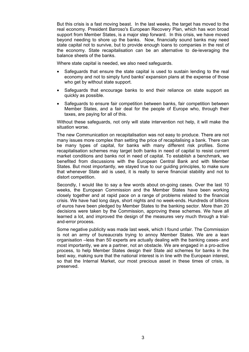But this crisis is a fast moving beast. In the last weeks, the target has moved to the real economy. President Barroso's European Recovery Plan, which has won broad support from Member States, is a major step forward. In this crisis, we have moved beyond needing to shore up the banks. Now, financially sound banks may need state capital not to survive, but to provide enough loans to companies in the rest of the economy. State recapitalisation can be an alternative to de-leveraging the balance sheets of the banks.

Where state capital is needed, we also need safeguards.

- Safeguards that ensure the state capital is used to sustain lending to the real economy and not to simply fund banks' expansion plans at the expense of those who get by without state support.
- Safeguards that encourage banks to end their reliance on state support as quickly as possible.
- Safeguards to ensure fair competition between banks, fair competition between Member States, and a fair deal for the people of Europe who, through their taxes, are paying for all of this.

Without these safeguards, not only will state intervention not help, it will make the situation worse.

The new Communication on recapitalisation was not easy to produce. There are not many issues more complex than setting the price of recapitalising a bank. There can be many types of capital, for banks with many different risk profiles. Some recapitalisation schemes may target both banks in need of capital to resist current market conditions and banks not in need of capital. To establish a benchmark, we benefited from discussions with the European Central Bank and with Member States. But most importantly, we stayed true to our guiding principles, to make sure that whenever State aid is used, it is really to serve financial stability and not to distort competition.

Secondly, I would like to say a few words about on-going cases. Over the last 10 weeks, the European Commission and the Member States have been working closely together and at rapid pace on a range of problems related to the financial crisis. We have had long days, short nights and no week-ends. Hundreds of billions of euros have been pledged by Member States to the banking sector. More than 20 decisions were taken by the Commission, approving these schemes. We have all learned a lot, and improved the design of the measures very much through a trialand-error process.

Some negative publicity was made last week, which I found unfair. The Commission is not an army of bureaucrats trying to annoy Member States. We are a lean organisation –less than 50 experts are actually dealing with the banking cases- and most importantly, we are a partner, not an obstacle. We are engaged in a pro-active process, to help Member States design their State aid schemes for banks in the best way, making sure that the national interest is in line with the European interest, so that the Internal Market, our most precious asset in these times of crisis, is preserved.